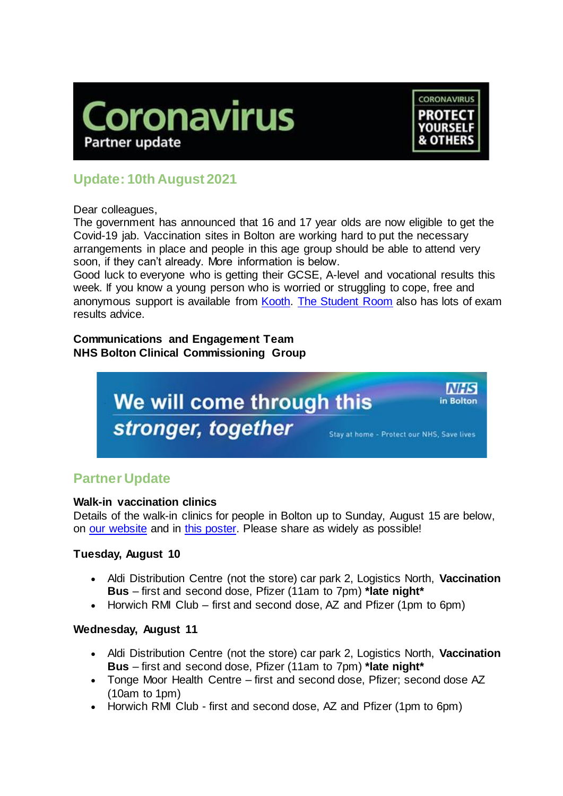



# **Update: 10th August 2021**

Dear colleagues,

The government has announced that 16 and 17 year olds are now eligible to get the Covid-19 jab. Vaccination sites in Bolton are working hard to put the necessary arrangements in place and people in this age group should be able to attend very soon, if they can't already. More information is below.

Good luck to everyone who is getting their GCSE, A-level and vocational results this week. If you know a young person who is worried or struggling to cope, free and anonymous support is available from [Kooth.](http://www.kooth.com./) [The Student Room](https://www.thestudentroom.co.uk/) also has lots of exam results advice.

## **Communications and Engagement Team NHS Bolton Clinical Commissioning Group**



# **Partner Update**

### **Walk-in vaccination clinics**

Details of the walk-in clinics for people in Bolton up to Sunday, August 15 are below, on [our website](https://www.boltonccg.nhs.uk/patient-zone/coronavirus) and in [this poster.](https://www.boltonccg.nhs.uk/media/7211/vaccine-site-list-poster-6-8-21.pdf) Please share as widely as possible!

# **Tuesday, August 10**

- Aldi Distribution Centre (not the store) car park 2, Logistics North, **Vaccination Bus** – first and second dose, Pfizer (11am to 7pm) **\*late night\***
- Horwich RMI Club first and second dose, AZ and Pfizer (1pm to 6pm)

### **Wednesday, August 11**

- Aldi Distribution Centre (not the store) car park 2, Logistics North, **Vaccination Bus** – first and second dose, Pfizer (11am to 7pm) **\*late night\***
- Tonge Moor Health Centre first and second dose, Pfizer; second dose AZ (10am to 1pm)
- Horwich RMI Club first and second dose, AZ and Pfizer (1pm to 6pm)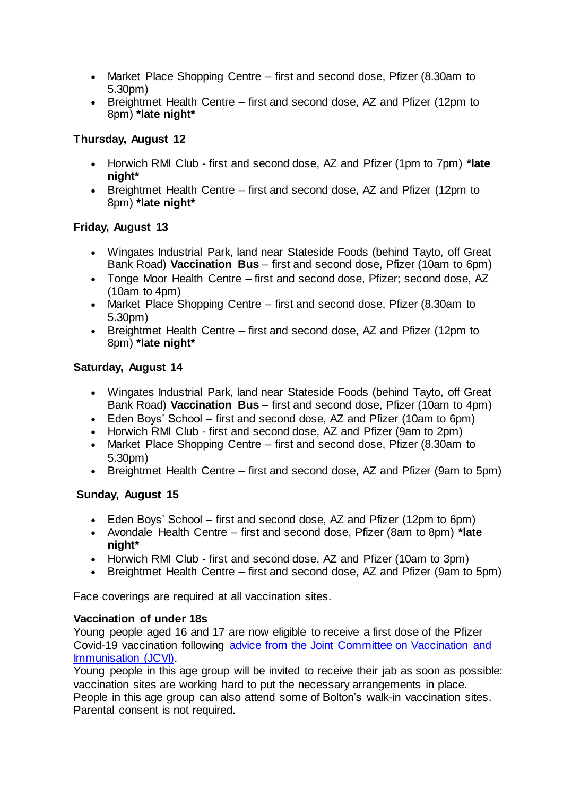- Market Place Shopping Centre first and second dose, Pfizer (8.30am to 5.30pm)
- Breightmet Health Centre first and second dose, AZ and Pfizer (12pm to 8pm) **\*late night\***

## **Thursday, August 12**

- Horwich RMI Club first and second dose, AZ and Pfizer (1pm to 7pm) **\*late night\***
- Breightmet Health Centre first and second dose, AZ and Pfizer (12pm to 8pm) **\*late night\***

## **Friday, August 13**

- Wingates Industrial Park, land near Stateside Foods (behind Tayto, off Great Bank Road) **Vaccination Bus** – first and second dose, Pfizer (10am to 6pm)
- Tonge Moor Health Centre first and second dose, Pfizer; second dose, AZ (10am to 4pm)
- Market Place Shopping Centre first and second dose, Pfizer (8.30am to 5.30pm)
- Breightmet Health Centre first and second dose, AZ and Pfizer (12pm to 8pm) **\*late night\***

## **Saturday, August 14**

- Wingates Industrial Park, land near Stateside Foods (behind Tayto, off Great Bank Road) **Vaccination Bus** – first and second dose, Pfizer (10am to 4pm)
- Eden Boys' School first and second dose, AZ and Pfizer (10am to 6pm)
- Horwich RMI Club first and second dose, AZ and Pfizer (9am to 2pm)
- Market Place Shopping Centre first and second dose, Pfizer (8.30am to 5.30pm)
- Breightmet Health Centre first and second dose, AZ and Pfizer (9am to 5pm)

# **Sunday, August 15**

- Eden Boys' School first and second dose, AZ and Pfizer (12pm to 6pm)
- Avondale Health Centre first and second dose, Pfizer (8am to 8pm) **\*late night\***
- Horwich RMI Club first and second dose, AZ and Pfizer (10am to 3pm)
- Breightmet Health Centre first and second dose, AZ and Pfizer (9am to 5pm)

Face coverings are required at all vaccination sites.

### **Vaccination of under 18s**

Young people aged 16 and 17 are now eligible to receive a first dose of the Pfizer Covid-19 vaccination following [advice from the Joint Committee on Vaccination and](https://www.gov.uk/government/news/jcvi-issues-updated-advice-on-covid-19-vaccination-of-young-people-aged-16-to-17)  [Immunisation \(JCVI\).](https://www.gov.uk/government/news/jcvi-issues-updated-advice-on-covid-19-vaccination-of-young-people-aged-16-to-17)

Young people in this age group will be invited to receive their jab as soon as possible: vaccination sites are working hard to put the necessary arrangements in place. People in this age group can also attend some of Bolton's walk-in vaccination sites. Parental consent is not required.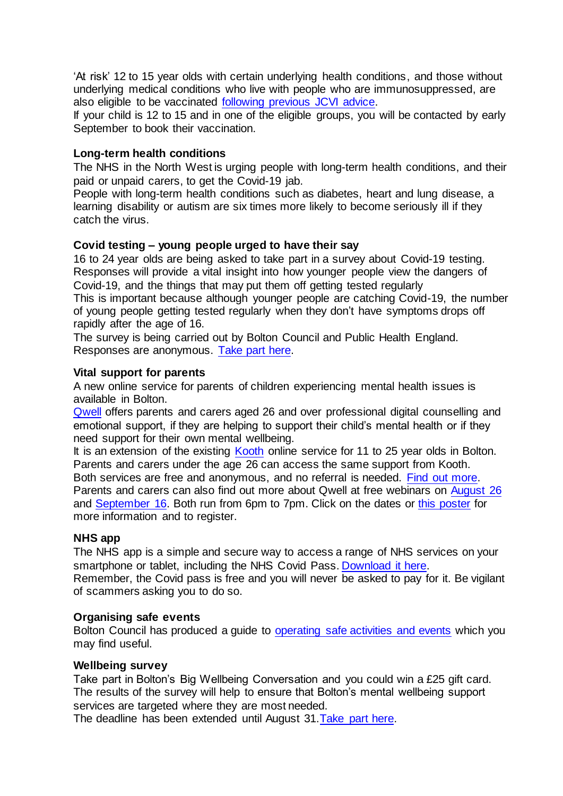'At risk' 12 to 15 year olds with certain underlying health conditions, and those without underlying medical conditions who live with people who are immunosuppressed, are also eligible to be vaccinated [following previous JCVI advice.](https://www.gov.uk/government/publications/covid-19-vaccination-of-children-and-young-people-aged-12-to-17-years-jcvi-statement/jvci-statement-on-covid-19-vaccination-of-children-and-young-people-aged-12-to-17-years-15-july-2021)

If your child is 12 to 15 and in one of the eligible groups, you will be contacted by early September to book their vaccination.

#### **Long-term health conditions**

The NHS in the North West is urging people with long-term health conditions, and their paid or unpaid carers, to get the Covid-19 jab.

People with long-term health conditions such as diabetes, heart and lung disease, a learning disability or autism are six times more likely to become seriously ill if they catch the virus.

#### **Covid testing – young people urged to have their say**

16 to 24 year olds are being asked to take part in a survey about Covid-19 testing. Responses will provide a vital insight into how younger people view the dangers of Covid-19, and the things that may put them off getting tested regularly This is important because although younger people are catching Covid-19, the number of young people getting tested regularly when they don't have symptoms drops off rapidly after the age of 16.

The survey is being carried out by Bolton Council and Public Health England. Responses are anonymous. [Take part here.](https://wh1.snapsurveys.com/s.asp?k=162686710510)

#### **Vital support for parents**

A new online service for parents of children experiencing mental health issues is available in Bolton.

[Qwell](https://www.qwell.io/) offers parents and carers aged 26 and over professional digital counselling and emotional support, if they are helping to support their child's mental health or if they need support for their own mental wellbeing.

It is an extension of the existing [Kooth](http://www.kooth.com./) online service for 11 to 25 year olds in Bolton. Parents and carers under the age 26 can access the same support from Kooth. Both services are free and anonymous, and no referral is needed. [Find](https://www.boltonccg.nhs.uk/news-events/news/vital-new-support-for-parents-and-carers) out more. Parents and carers can also find out more about Qwell at free webinars on [August 26](https://www.eventbrite.co.uk/e/discover-qwell-find-out-how-we-can-support-parents-and-carers-tickets-164333717573) and [September 16.](https://www.eventbrite.co.uk/e/discover-qwell-find-out-how-we-can-support-parents-and-carers-tickets-164336670405) Both run from 6pm to 7pm. Click on the dates or [this poster](https://www.boltonccg.nhs.uk/media/7252/free-qwell-webinars-for-parents-and-carers-across-the-north-east-and-north-west-4.pdf) for more information and to register.

#### **NHS app**

The NHS app is a simple and secure way to access a range of NHS services on your smartphone or tablet, including the NHS Covid Pass[. Download it here.](http://www.nhs.uk/nhs-app)

Remember, the Covid pass is free and you will never be asked to pay for it. Be vigilant of scammers asking you to do so.

#### **Organising safe events**

Bolton Council has produced a guide to [operating safe activities and events](https://www.boltonccg.nhs.uk/media/7212/activity-toolkit-final-2821.pdf) which you may find useful.

#### **Wellbeing survey**

Take part in Bolton's Big Wellbeing Conversation and you could win a £25 gift card. The results of the survey will help to ensure that Bolton's mental wellbeing support services are targeted where they are most needed.

The deadline has been extended until August 31[.Take part here.](https://bit.ly/3ehtAhm)